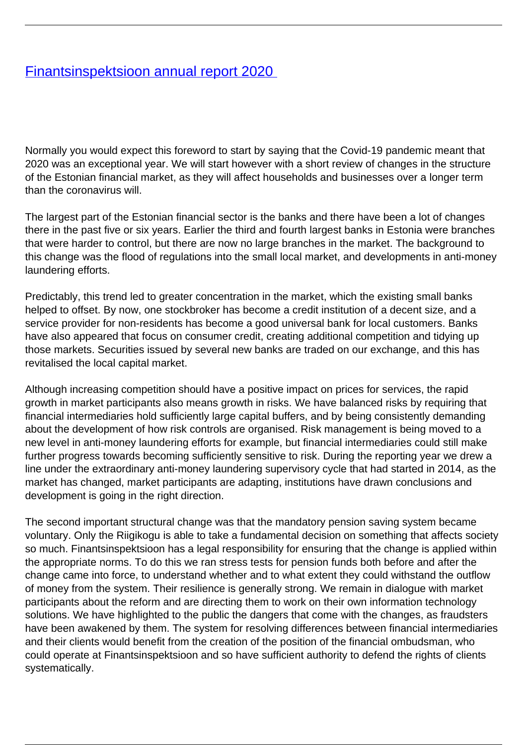## [Finantsinspektsioon annual report 2020](/en/publications/finantsinspektsioon-annual-report-2020)

Normally you would expect this foreword to start by saying that the Covid-19 pandemic meant that 2020 was an exceptional year. We will start however with a short review of changes in the structure of the Estonian financial market, as they will affect households and businesses over a longer term than the coronavirus will.

The largest part of the Estonian financial sector is the banks and there have been a lot of changes there in the past five or six years. Earlier the third and fourth largest banks in Estonia were branches that were harder to control, but there are now no large branches in the market. The background to this change was the flood of regulations into the small local market, and developments in anti-money laundering efforts.

Predictably, this trend led to greater concentration in the market, which the existing small banks helped to offset. By now, one stockbroker has become a credit institution of a decent size, and a service provider for non-residents has become a good universal bank for local customers. Banks have also appeared that focus on consumer credit, creating additional competition and tidying up those markets. Securities issued by several new banks are traded on our exchange, and this has revitalised the local capital market.

Although increasing competition should have a positive impact on prices for services, the rapid growth in market participants also means growth in risks. We have balanced risks by requiring that financial intermediaries hold sufficiently large capital buffers, and by being consistently demanding about the development of how risk controls are organised. Risk management is being moved to a new level in anti-money laundering efforts for example, but financial intermediaries could still make further progress towards becoming sufficiently sensitive to risk. During the reporting year we drew a line under the extraordinary anti-money laundering supervisory cycle that had started in 2014, as the market has changed, market participants are adapting, institutions have drawn conclusions and development is going in the right direction.

The second important structural change was that the mandatory pension saving system became voluntary. Only the Riigikogu is able to take a fundamental decision on something that affects society so much. Finantsinspektsioon has a legal responsibility for ensuring that the change is applied within the appropriate norms. To do this we ran stress tests for pension funds both before and after the change came into force, to understand whether and to what extent they could withstand the outflow of money from the system. Their resilience is generally strong. We remain in dialogue with market participants about the reform and are directing them to work on their own information technology solutions. We have highlighted to the public the dangers that come with the changes, as fraudsters have been awakened by them. The system for resolving differences between financial intermediaries and their clients would benefit from the creation of the position of the financial ombudsman, who could operate at Finantsinspektsioon and so have sufficient authority to defend the rights of clients systematically.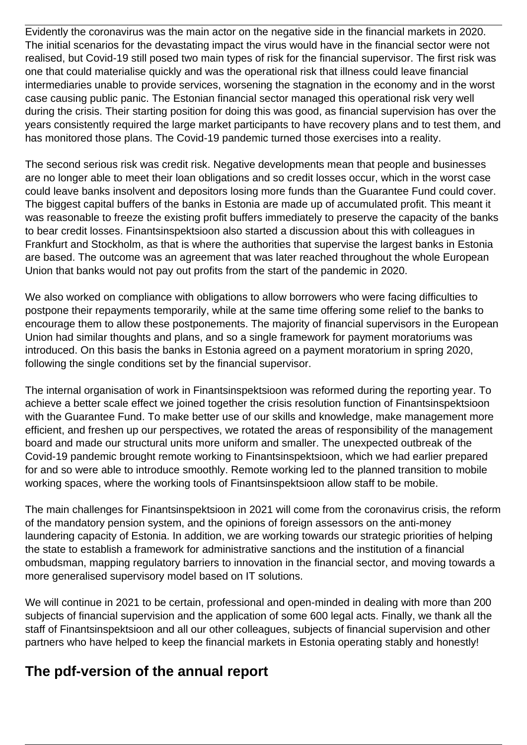Evidently the coronavirus was the main actor on the negative side in the financial markets in 2020. The initial scenarios for the devastating impact the virus would have in the financial sector were not realised, but Covid-19 still posed two main types of risk for the financial supervisor. The first risk was one that could materialise quickly and was the operational risk that illness could leave financial intermediaries unable to provide services, worsening the stagnation in the economy and in the worst case causing public panic. The Estonian financial sector managed this operational risk very well during the crisis. Their starting position for doing this was good, as financial supervision has over the years consistently required the large market participants to have recovery plans and to test them, and has monitored those plans. The Covid-19 pandemic turned those exercises into a reality.

The second serious risk was credit risk. Negative developments mean that people and businesses are no longer able to meet their loan obligations and so credit losses occur, which in the worst case could leave banks insolvent and depositors losing more funds than the Guarantee Fund could cover. The biggest capital buffers of the banks in Estonia are made up of accumulated profit. This meant it was reasonable to freeze the existing profit buffers immediately to preserve the capacity of the banks to bear credit losses. Finantsinspektsioon also started a discussion about this with colleagues in Frankfurt and Stockholm, as that is where the authorities that supervise the largest banks in Estonia are based. The outcome was an agreement that was later reached throughout the whole European Union that banks would not pay out profits from the start of the pandemic in 2020.

We also worked on compliance with obligations to allow borrowers who were facing difficulties to postpone their repayments temporarily, while at the same time offering some relief to the banks to encourage them to allow these postponements. The majority of financial supervisors in the European Union had similar thoughts and plans, and so a single framework for payment moratoriums was introduced. On this basis the banks in Estonia agreed on a payment moratorium in spring 2020, following the single conditions set by the financial supervisor.

The internal organisation of work in Finantsinspektsioon was reformed during the reporting year. To achieve a better scale effect we joined together the crisis resolution function of Finantsinspektsioon with the Guarantee Fund. To make better use of our skills and knowledge, make management more efficient, and freshen up our perspectives, we rotated the areas of responsibility of the management board and made our structural units more uniform and smaller. The unexpected outbreak of the Covid-19 pandemic brought remote working to Finantsinspektsioon, which we had earlier prepared for and so were able to introduce smoothly. Remote working led to the planned transition to mobile working spaces, where the working tools of Finantsinspektsioon allow staff to be mobile.

The main challenges for Finantsinspektsioon in 2021 will come from the coronavirus crisis, the reform of the mandatory pension system, and the opinions of foreign assessors on the anti-money laundering capacity of Estonia. In addition, we are working towards our strategic priorities of helping the state to establish a framework for administrative sanctions and the institution of a financial ombudsman, mapping regulatory barriers to innovation in the financial sector, and moving towards a more generalised supervisory model based on IT solutions.

We will continue in 2021 to be certain, professional and open-minded in dealing with more than 200 subjects of financial supervision and the application of some 600 legal acts. Finally, we thank all the staff of Finantsinspektsioon and all our other colleagues, subjects of financial supervision and other partners who have helped to keep the financial markets in Estonia operating stably and honestly!

## **The pdf-version of the annual report**